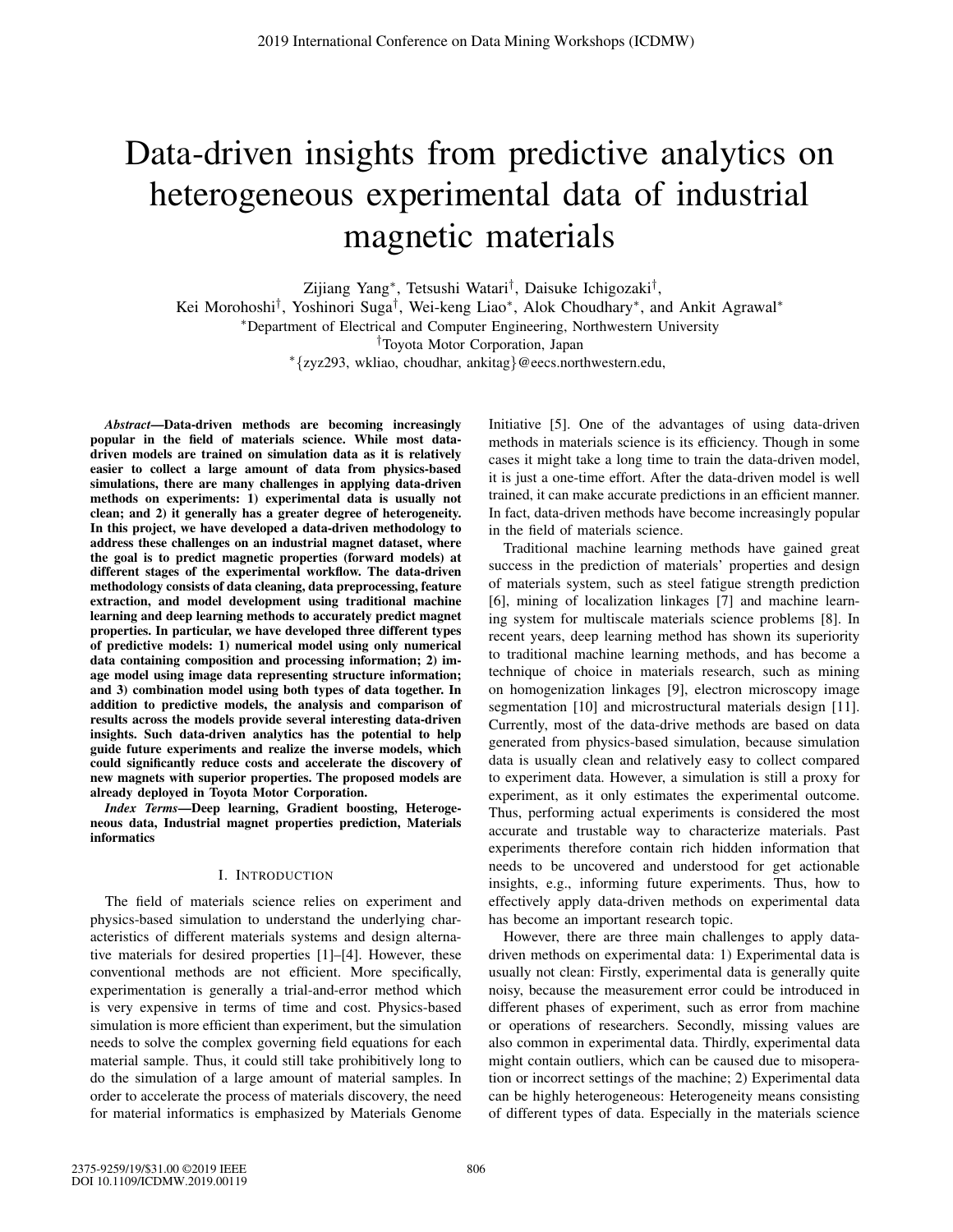# Data-driven insights from predictive analytics on heterogeneous experimental data of industrial magnetic materials

Zijiang Yang∗, Tetsushi Watari†, Daisuke Ichigozaki†,

Kei Morohoshi†, Yoshinori Suga†, Wei-keng Liao∗, Alok Choudhary∗, and Ankit Agrawal∗

∗Department of Electrical and Computer Engineering, Northwestern University

†Toyota Motor Corporation, Japan

∗{zyz293, wkliao, choudhar, ankitag}@eecs.northwestern.edu,

*Abstract*—Data-driven methods are becoming increasingly popular in the field of materials science. While most datadriven models are trained on simulation data as it is relatively easier to collect a large amount of data from physics-based simulations, there are many challenges in applying data-driven methods on experiments: 1) experimental data is usually not clean; and 2) it generally has a greater degree of heterogeneity. In this project, we have developed a data-driven methodology to address these challenges on an industrial magnet dataset, where the goal is to predict magnetic properties (forward models) at different stages of the experimental workflow. The data-driven methodology consists of data cleaning, data preprocessing, feature extraction, and model development using traditional machine learning and deep learning methods to accurately predict magnet properties. In particular, we have developed three different types of predictive models: 1) numerical model using only numerical data containing composition and processing information; 2) image model using image data representing structure information; and 3) combination model using both types of data together. In addition to predictive models, the analysis and comparison of results across the models provide several interesting data-driven insights. Such data-driven analytics has the potential to help guide future experiments and realize the inverse models, which could significantly reduce costs and accelerate the discovery of new magnets with superior properties. The proposed models are already deployed in Toyota Motor Corporation.

*Index Terms*—Deep learning, Gradient boosting, Heterogeneous data, Industrial magnet properties prediction, Materials informatics

# I. INTRODUCTION

The field of materials science relies on experiment and physics-based simulation to understand the underlying characteristics of different materials systems and design alternative materials for desired properties [1]–[4]. However, these conventional methods are not efficient. More specifically, experimentation is generally a trial-and-error method which is very expensive in terms of time and cost. Physics-based simulation is more efficient than experiment, but the simulation needs to solve the complex governing field equations for each material sample. Thus, it could still take prohibitively long to do the simulation of a large amount of material samples. In order to accelerate the process of materials discovery, the need for material informatics is emphasized by Materials Genome Initiative [5]. One of the advantages of using data-driven methods in materials science is its efficiency. Though in some cases it might take a long time to train the data-driven model, it is just a one-time effort. After the data-driven model is well trained, it can make accurate predictions in an efficient manner. In fact, data-driven methods have become increasingly popular in the field of materials science.

Traditional machine learning methods have gained great success in the prediction of materials' properties and design of materials system, such as steel fatigue strength prediction [6], mining of localization linkages [7] and machine learning system for multiscale materials science problems [8]. In recent years, deep learning method has shown its superiority to traditional machine learning methods, and has become a technique of choice in materials research, such as mining on homogenization linkages [9], electron microscopy image segmentation [10] and microstructural materials design [11]. Currently, most of the data-drive methods are based on data generated from physics-based simulation, because simulation data is usually clean and relatively easy to collect compared to experiment data. However, a simulation is still a proxy for experiment, as it only estimates the experimental outcome. Thus, performing actual experiments is considered the most accurate and trustable way to characterize materials. Past experiments therefore contain rich hidden information that needs to be uncovered and understood for get actionable insights, e.g., informing future experiments. Thus, how to effectively apply data-driven methods on experimental data has become an important research topic.

However, there are three main challenges to apply datadriven methods on experimental data: 1) Experimental data is usually not clean: Firstly, experimental data is generally quite noisy, because the measurement error could be introduced in different phases of experiment, such as error from machine or operations of researchers. Secondly, missing values are also common in experimental data. Thirdly, experimental data might contain outliers, which can be caused due to misoperation or incorrect settings of the machine; 2) Experimental data can be highly heterogeneous: Heterogeneity means consisting of different types of data. Especially in the materials science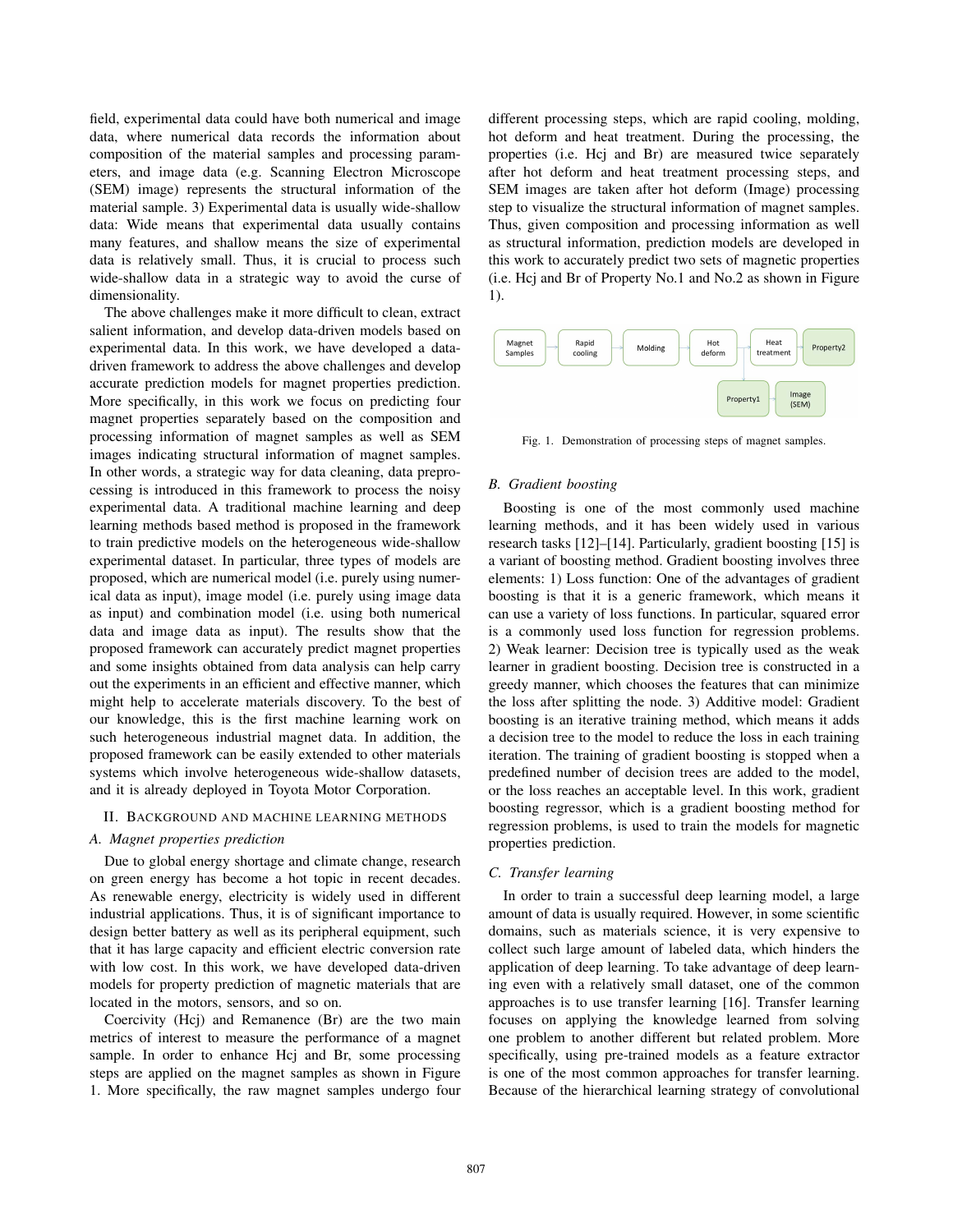field, experimental data could have both numerical and image data, where numerical data records the information about composition of the material samples and processing parameters, and image data (e.g. Scanning Electron Microscope (SEM) image) represents the structural information of the material sample. 3) Experimental data is usually wide-shallow data: Wide means that experimental data usually contains many features, and shallow means the size of experimental data is relatively small. Thus, it is crucial to process such wide-shallow data in a strategic way to avoid the curse of dimensionality.

The above challenges make it more difficult to clean, extract salient information, and develop data-driven models based on experimental data. In this work, we have developed a datadriven framework to address the above challenges and develop accurate prediction models for magnet properties prediction. More specifically, in this work we focus on predicting four magnet properties separately based on the composition and processing information of magnet samples as well as SEM images indicating structural information of magnet samples. In other words, a strategic way for data cleaning, data preprocessing is introduced in this framework to process the noisy experimental data. A traditional machine learning and deep learning methods based method is proposed in the framework to train predictive models on the heterogeneous wide-shallow experimental dataset. In particular, three types of models are proposed, which are numerical model (i.e. purely using numerical data as input), image model (i.e. purely using image data as input) and combination model (i.e. using both numerical data and image data as input). The results show that the proposed framework can accurately predict magnet properties and some insights obtained from data analysis can help carry out the experiments in an efficient and effective manner, which might help to accelerate materials discovery. To the best of our knowledge, this is the first machine learning work on such heterogeneous industrial magnet data. In addition, the proposed framework can be easily extended to other materials systems which involve heterogeneous wide-shallow datasets, and it is already deployed in Toyota Motor Corporation.

#### II. BACKGROUND AND MACHINE LEARNING METHODS

# *A. Magnet properties prediction*

Due to global energy shortage and climate change, research on green energy has become a hot topic in recent decades. As renewable energy, electricity is widely used in different industrial applications. Thus, it is of significant importance to design better battery as well as its peripheral equipment, such that it has large capacity and efficient electric conversion rate with low cost. In this work, we have developed data-driven models for property prediction of magnetic materials that are located in the motors, sensors, and so on.

Coercivity (Hcj) and Remanence (Br) are the two main metrics of interest to measure the performance of a magnet sample. In order to enhance Hcj and Br, some processing steps are applied on the magnet samples as shown in Figure 1. More specifically, the raw magnet samples undergo four

different processing steps, which are rapid cooling, molding, hot deform and heat treatment. During the processing, the properties (i.e. Hcj and Br) are measured twice separately after hot deform and heat treatment processing steps, and SEM images are taken after hot deform (Image) processing step to visualize the structural information of magnet samples. Thus, given composition and processing information as well as structural information, prediction models are developed in this work to accurately predict two sets of magnetic properties (i.e. Hcj and Br of Property No.1 and No.2 as shown in Figure 1).



Fig. 1. Demonstration of processing steps of magnet samples.

#### *B. Gradient boosting*

Boosting is one of the most commonly used machine learning methods, and it has been widely used in various research tasks [12]–[14]. Particularly, gradient boosting [15] is a variant of boosting method. Gradient boosting involves three elements: 1) Loss function: One of the advantages of gradient boosting is that it is a generic framework, which means it can use a variety of loss functions. In particular, squared error is a commonly used loss function for regression problems. 2) Weak learner: Decision tree is typically used as the weak learner in gradient boosting. Decision tree is constructed in a greedy manner, which chooses the features that can minimize the loss after splitting the node. 3) Additive model: Gradient boosting is an iterative training method, which means it adds a decision tree to the model to reduce the loss in each training iteration. The training of gradient boosting is stopped when a predefined number of decision trees are added to the model, or the loss reaches an acceptable level. In this work, gradient boosting regressor, which is a gradient boosting method for regression problems, is used to train the models for magnetic properties prediction.

## *C. Transfer learning*

In order to train a successful deep learning model, a large amount of data is usually required. However, in some scientific domains, such as materials science, it is very expensive to collect such large amount of labeled data, which hinders the application of deep learning. To take advantage of deep learning even with a relatively small dataset, one of the common approaches is to use transfer learning [16]. Transfer learning focuses on applying the knowledge learned from solving one problem to another different but related problem. More specifically, using pre-trained models as a feature extractor is one of the most common approaches for transfer learning. Because of the hierarchical learning strategy of convolutional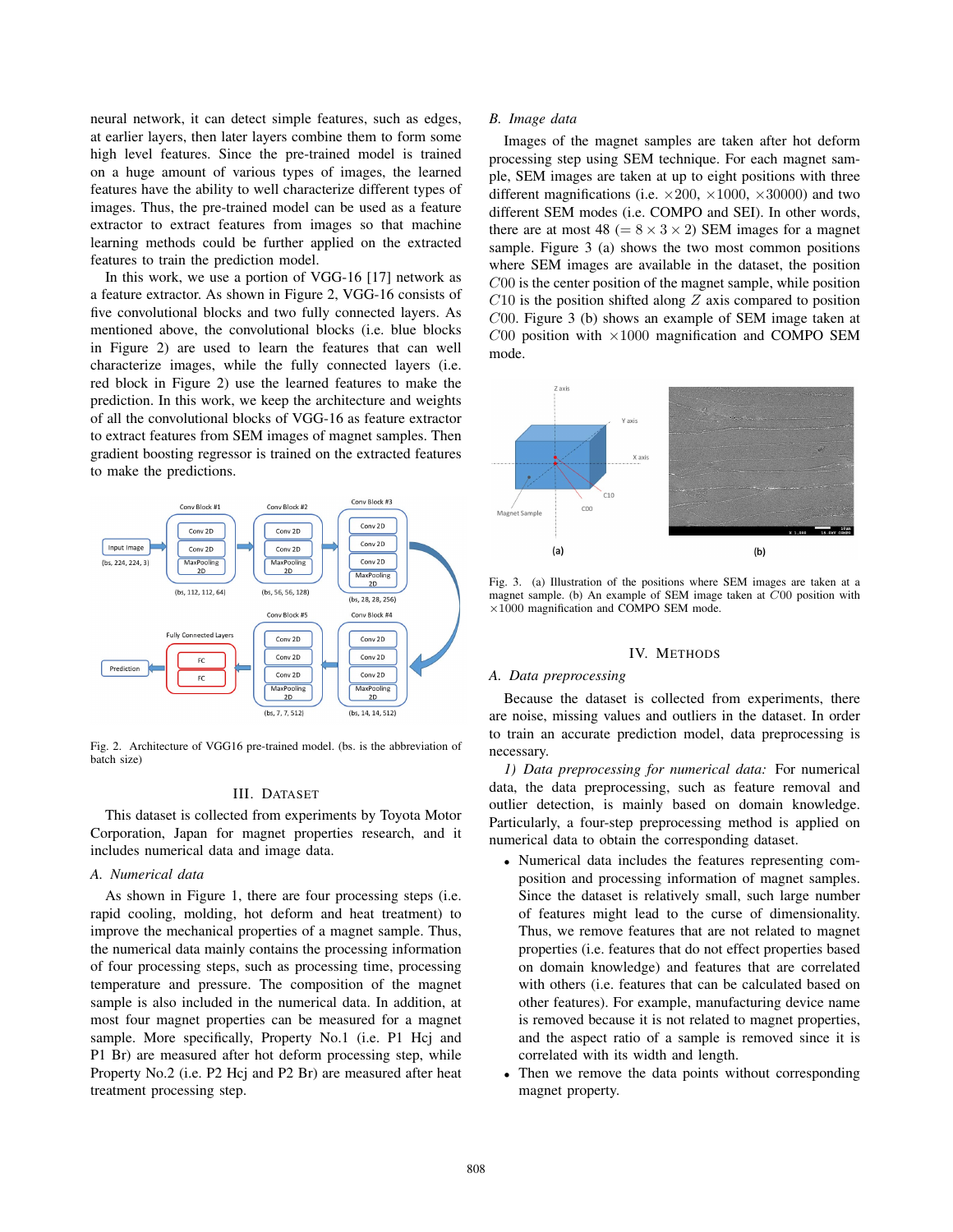neural network, it can detect simple features, such as edges, at earlier layers, then later layers combine them to form some high level features. Since the pre-trained model is trained on a huge amount of various types of images, the learned features have the ability to well characterize different types of images. Thus, the pre-trained model can be used as a feature extractor to extract features from images so that machine learning methods could be further applied on the extracted features to train the prediction model.

In this work, we use a portion of VGG-16 [17] network as a feature extractor. As shown in Figure 2, VGG-16 consists of five convolutional blocks and two fully connected layers. As mentioned above, the convolutional blocks (i.e. blue blocks in Figure 2) are used to learn the features that can well characterize images, while the fully connected layers (i.e. red block in Figure 2) use the learned features to make the prediction. In this work, we keep the architecture and weights of all the convolutional blocks of VGG-16 as feature extractor to extract features from SEM images of magnet samples. Then gradient boosting regressor is trained on the extracted features to make the predictions.



Fig. 2. Architecture of VGG16 pre-trained model. (bs. is the abbreviation of batch size)

# III. DATASET

This dataset is collected from experiments by Toyota Motor Corporation, Japan for magnet properties research, and it includes numerical data and image data.

## *A. Numerical data*

As shown in Figure 1, there are four processing steps (i.e. rapid cooling, molding, hot deform and heat treatment) to improve the mechanical properties of a magnet sample. Thus, the numerical data mainly contains the processing information of four processing steps, such as processing time, processing temperature and pressure. The composition of the magnet sample is also included in the numerical data. In addition, at most four magnet properties can be measured for a magnet sample. More specifically, Property No.1 (i.e. P1 Hcj and P1 Br) are measured after hot deform processing step, while Property No.2 (i.e. P2 Hcj and P2 Br) are measured after heat treatment processing step.

#### *B. Image data*

Images of the magnet samples are taken after hot deform processing step using SEM technique. For each magnet sample, SEM images are taken at up to eight positions with three different magnifications (i.e.  $\times 200$ ,  $\times 1000$ ,  $\times 30000$ ) and two different SEM modes (i.e. COMPO and SEI). In other words, there are at most 48 ( $= 8 \times 3 \times 2$ ) SEM images for a magnet sample. Figure 3 (a) shows the two most common positions where SEM images are available in the dataset, the position C00 is the center position of the magnet sample, while position  $C10$  is the position shifted along  $Z$  axis compared to position C00. Figure 3 (b) shows an example of SEM image taken at  $C_{00}$  position with  $\times 1000$  magnification and COMPO SEM mode.



Fig. 3. (a) Illustration of the positions where SEM images are taken at a magnet sample. (b) An example of SEM image taken at C00 position with ×1000 magnification and COMPO SEM mode.

# IV. METHODS

## *A. Data preprocessing*

Because the dataset is collected from experiments, there are noise, missing values and outliers in the dataset. In order to train an accurate prediction model, data preprocessing is necessary.

*1) Data preprocessing for numerical data:* For numerical data, the data preprocessing, such as feature removal and outlier detection, is mainly based on domain knowledge. Particularly, a four-step preprocessing method is applied on numerical data to obtain the corresponding dataset.

- Numerical data includes the features representing composition and processing information of magnet samples. Since the dataset is relatively small, such large number of features might lead to the curse of dimensionality. Thus, we remove features that are not related to magnet properties (i.e. features that do not effect properties based on domain knowledge) and features that are correlated with others (i.e. features that can be calculated based on other features). For example, manufacturing device name is removed because it is not related to magnet properties, and the aspect ratio of a sample is removed since it is correlated with its width and length.
- Then we remove the data points without corresponding magnet property.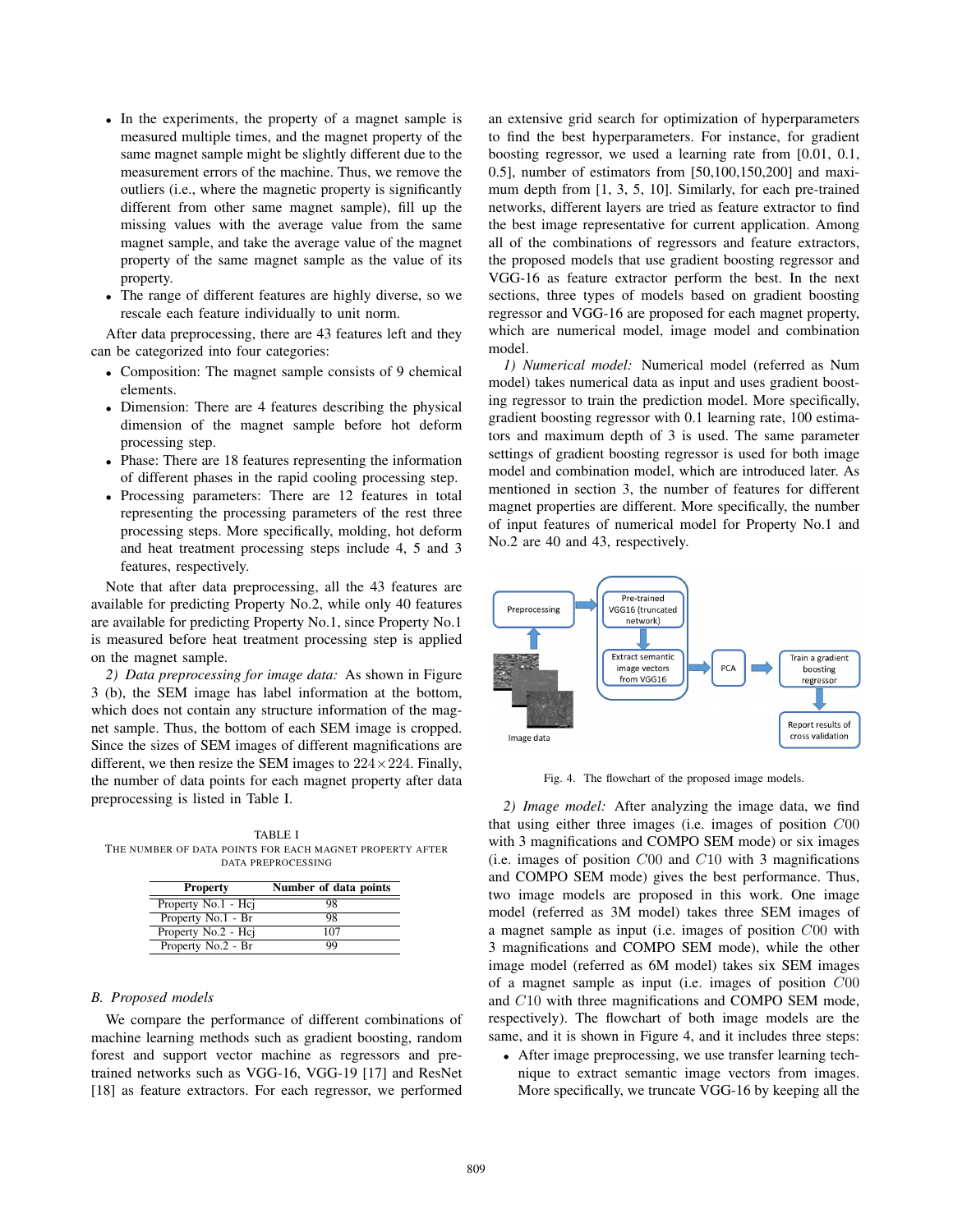- In the experiments, the property of a magnet sample is measured multiple times, and the magnet property of the same magnet sample might be slightly different due to the measurement errors of the machine. Thus, we remove the outliers (i.e., where the magnetic property is significantly different from other same magnet sample), fill up the missing values with the average value from the same magnet sample, and take the average value of the magnet property of the same magnet sample as the value of its property.
- The range of different features are highly diverse, so we rescale each feature individually to unit norm.

After data preprocessing, there are 43 features left and they can be categorized into four categories:

- Composition: The magnet sample consists of 9 chemical elements.
- Dimension: There are 4 features describing the physical dimension of the magnet sample before hot deform processing step.
- Phase: There are 18 features representing the information of different phases in the rapid cooling processing step.
- Processing parameters: There are 12 features in total representing the processing parameters of the rest three processing steps. More specifically, molding, hot deform and heat treatment processing steps include 4, 5 and 3 features, respectively.

Note that after data preprocessing, all the 43 features are available for predicting Property No.2, while only 40 features are available for predicting Property No.1, since Property No.1 is measured before heat treatment processing step is applied on the magnet sample.

*2) Data preprocessing for image data:* As shown in Figure 3 (b), the SEM image has label information at the bottom, which does not contain any structure information of the magnet sample. Thus, the bottom of each SEM image is cropped. Since the sizes of SEM images of different magnifications are different, we then resize the SEM images to  $224 \times 224$ . Finally, the number of data points for each magnet property after data preprocessing is listed in Table I.

TABLE I THE NUMBER OF DATA POINTS FOR EACH MAGNET PROPERTY AFTER DATA PREPROCESSING

| <b>Property</b>     | Number of data points |
|---------------------|-----------------------|
| Property No.1 - Hcj | 98                    |
| Property No.1 - Br  | 98                    |
| Property No.2 - Hcj | 107                   |
| Property No.2 - Br  | 99                    |

# *B. Proposed models*

We compare the performance of different combinations of machine learning methods such as gradient boosting, random forest and support vector machine as regressors and pretrained networks such as VGG-16, VGG-19 [17] and ResNet [18] as feature extractors. For each regressor, we performed an extensive grid search for optimization of hyperparameters to find the best hyperparameters. For instance, for gradient boosting regressor, we used a learning rate from [0.01, 0.1, 0.5], number of estimators from [50,100,150,200] and maximum depth from [1, 3, 5, 10]. Similarly, for each pre-trained networks, different layers are tried as feature extractor to find the best image representative for current application. Among all of the combinations of regressors and feature extractors, the proposed models that use gradient boosting regressor and VGG-16 as feature extractor perform the best. In the next sections, three types of models based on gradient boosting regressor and VGG-16 are proposed for each magnet property, which are numerical model, image model and combination model.

*1) Numerical model:* Numerical model (referred as Num model) takes numerical data as input and uses gradient boosting regressor to train the prediction model. More specifically, gradient boosting regressor with 0.1 learning rate, 100 estimators and maximum depth of 3 is used. The same parameter settings of gradient boosting regressor is used for both image model and combination model, which are introduced later. As mentioned in section 3, the number of features for different magnet properties are different. More specifically, the number of input features of numerical model for Property No.1 and No.2 are 40 and 43, respectively.



Fig. 4. The flowchart of the proposed image models.

*2) Image model:* After analyzing the image data, we find that using either three images (i.e. images of position C00 with 3 magnifications and COMPO SEM mode) or six images (i.e. images of position  $C00$  and  $C10$  with 3 magnifications and COMPO SEM mode) gives the best performance. Thus, two image models are proposed in this work. One image model (referred as 3M model) takes three SEM images of a magnet sample as input (i.e. images of position C00 with 3 magnifications and COMPO SEM mode), while the other image model (referred as 6M model) takes six SEM images of a magnet sample as input (i.e. images of position C00 and C10 with three magnifications and COMPO SEM mode, respectively). The flowchart of both image models are the same, and it is shown in Figure 4, and it includes three steps:

• After image preprocessing, we use transfer learning technique to extract semantic image vectors from images. More specifically, we truncate VGG-16 by keeping all the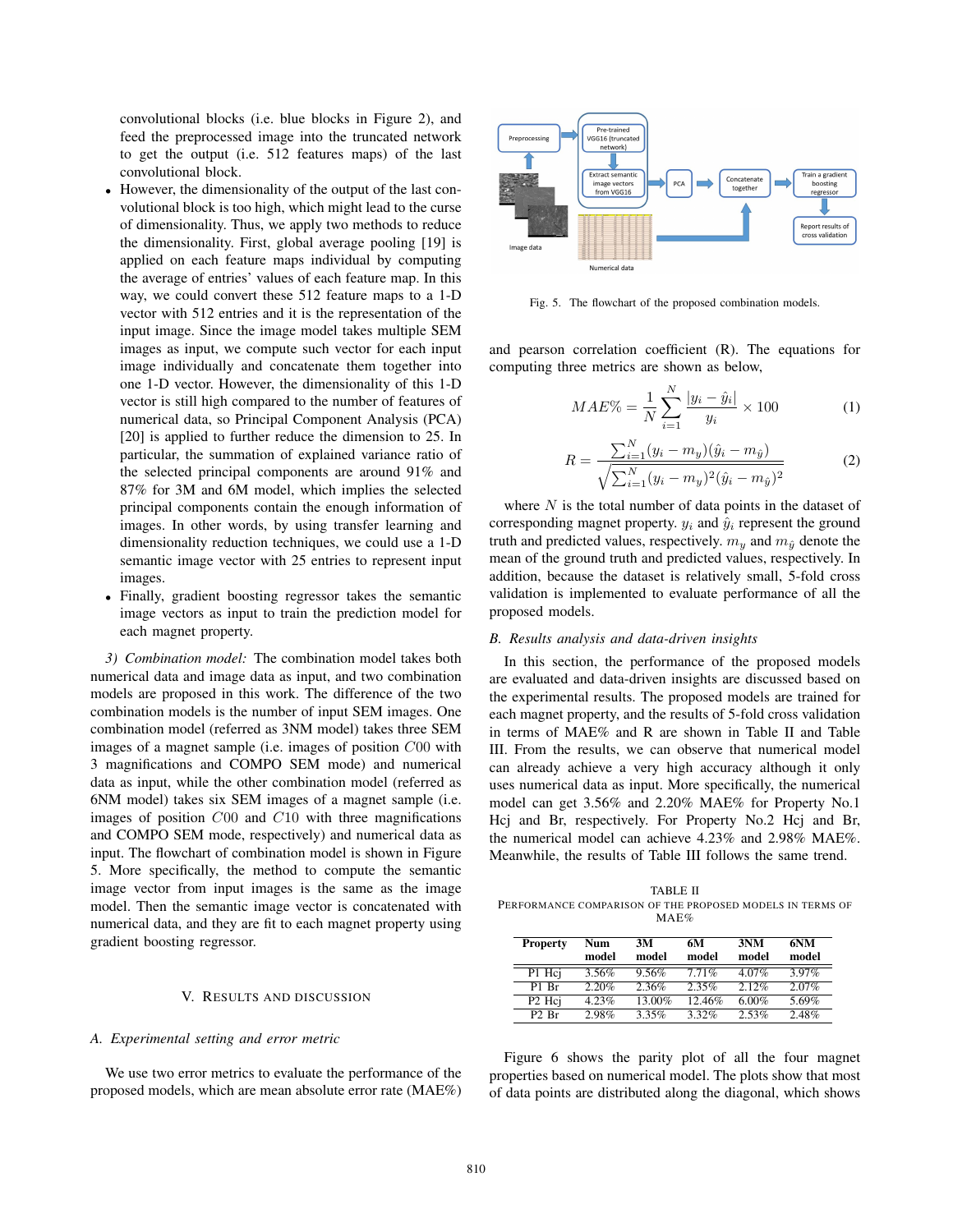convolutional blocks (i.e. blue blocks in Figure 2), and feed the preprocessed image into the truncated network to get the output (i.e. 512 features maps) of the last convolutional block.

- However, the dimensionality of the output of the last convolutional block is too high, which might lead to the curse of dimensionality. Thus, we apply two methods to reduce the dimensionality. First, global average pooling [19] is applied on each feature maps individual by computing the average of entries' values of each feature map. In this way, we could convert these 512 feature maps to a 1-D vector with 512 entries and it is the representation of the input image. Since the image model takes multiple SEM images as input, we compute such vector for each input image individually and concatenate them together into one 1-D vector. However, the dimensionality of this 1-D vector is still high compared to the number of features of numerical data, so Principal Component Analysis (PCA) [20] is applied to further reduce the dimension to 25. In particular, the summation of explained variance ratio of the selected principal components are around 91% and 87% for 3M and 6M model, which implies the selected principal components contain the enough information of images. In other words, by using transfer learning and dimensionality reduction techniques, we could use a 1-D semantic image vector with 25 entries to represent input images.
- Finally, gradient boosting regressor takes the semantic image vectors as input to train the prediction model for each magnet property.

*3) Combination model:* The combination model takes both numerical data and image data as input, and two combination models are proposed in this work. The difference of the two combination models is the number of input SEM images. One combination model (referred as 3NM model) takes three SEM images of a magnet sample (i.e. images of position C00 with 3 magnifications and COMPO SEM mode) and numerical data as input, while the other combination model (referred as 6NM model) takes six SEM images of a magnet sample (i.e. images of position C00 and C10 with three magnifications and COMPO SEM mode, respectively) and numerical data as input. The flowchart of combination model is shown in Figure 5. More specifically, the method to compute the semantic image vector from input images is the same as the image model. Then the semantic image vector is concatenated with numerical data, and they are fit to each magnet property using gradient boosting regressor.

# V. RESULTS AND DISCUSSION

### *A. Experimental setting and error metric*

We use two error metrics to evaluate the performance of the proposed models, which are mean absolute error rate (MAE%)



Fig. 5. The flowchart of the proposed combination models.

and pearson correlation coefficient (R). The equations for computing three metrics are shown as below,

$$
MAE\% = \frac{1}{N} \sum_{i=1}^{N} \frac{|y_i - \hat{y}_i|}{y_i} \times 100
$$
 (1)

$$
R = \frac{\sum_{i=1}^{N} (y_i - m_y)(\hat{y}_i - m_{\hat{y}})}{\sqrt{\sum_{i=1}^{N} (y_i - m_y)^2 (\hat{y}_i - m_{\hat{y}})^2}}
$$
(2)

where  $N$  is the total number of data points in the dataset of corresponding magnet property.  $y_i$  and  $\hat{y}_i$  represent the ground truth and predicted values, respectively.  $m_y$  and  $m_{\hat{y}}$  denote the mean of the ground truth and predicted values, respectively. In addition, because the dataset is relatively small, 5-fold cross validation is implemented to evaluate performance of all the proposed models.

#### *B. Results analysis and data-driven insights*

In this section, the performance of the proposed models are evaluated and data-driven insights are discussed based on the experimental results. The proposed models are trained for each magnet property, and the results of 5-fold cross validation in terms of MAE% and R are shown in Table II and Table III. From the results, we can observe that numerical model can already achieve a very high accuracy although it only uses numerical data as input. More specifically, the numerical model can get 3.56% and 2.20% MAE% for Property No.1 Hcj and Br, respectively. For Property No.2 Hcj and Br, the numerical model can achieve 4.23% and 2.98% MAE%. Meanwhile, the results of Table III follows the same trend.

TABLE II PERFORMANCE COMPARISON OF THE PROPOSED MODELS IN TERMS OF MAE%

| <b>Property</b>                | Num<br>model | 3M<br>model | 6М<br>model | 3NM<br>model | 6NM<br>model |
|--------------------------------|--------------|-------------|-------------|--------------|--------------|
| P1 Hci                         | 3.56%        | 9.56%       | 7.71%       | $4.07\%$     | 3.97%        |
| P <sub>1</sub> R <sub>r</sub>  | 2.20%        | 2.36%       | 2.35%       | $2.12\%$     | 2.07%        |
| P <sub>2</sub> H <sub>ci</sub> | $4.23\%$     | 13.00%      | 12.46%      | $6.00\%$     | 5.69%        |
| $P2$ Br                        | 2.98%        | 3.35%       | $3.32\%$    | 2.53%        | 2.48%        |

Figure 6 shows the parity plot of all the four magnet properties based on numerical model. The plots show that most of data points are distributed along the diagonal, which shows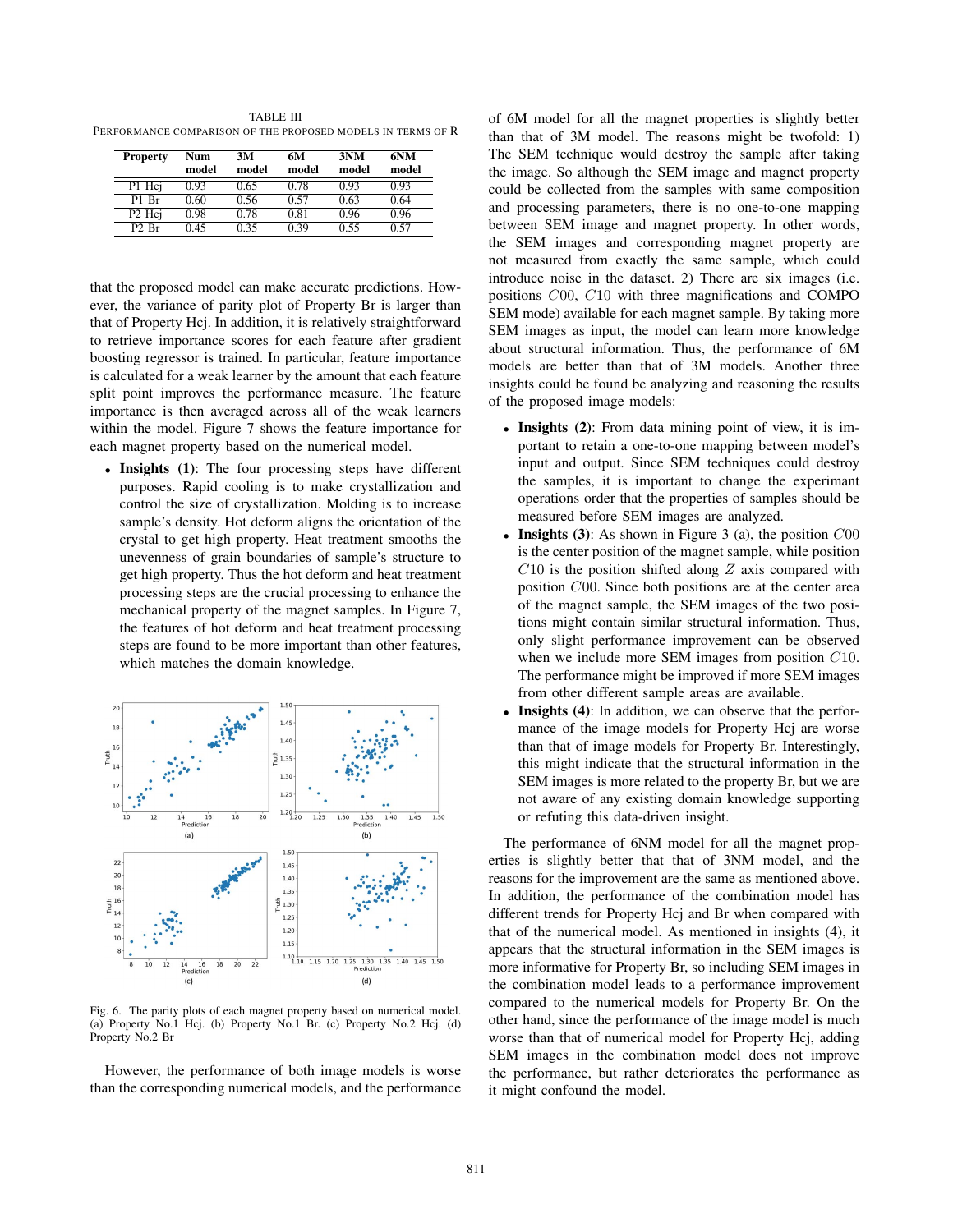TABLE III PERFORMANCE COMPARISON OF THE PROPOSED MODELS IN TERMS OF R

| <b>Property</b>                | Num<br>model | 3M<br>model | 6М<br>model | 3NM<br>model | 6NM<br>model |
|--------------------------------|--------------|-------------|-------------|--------------|--------------|
| P1 Hci                         | 0.93         | 0.65        | 0.78        | 0.93         | 0.93         |
| P1 Br                          | 0.60         | 0.56        | 0.57        | 0.63         | 0.64         |
| P <sub>2</sub> H <sub>ci</sub> | 0.98         | 0.78        | 0.81        | 0.96         | 0.96         |
| $P2$ Br                        | 0.45         | 0.35        | 0.39        | 0.55         | 0.57         |

that the proposed model can make accurate predictions. However, the variance of parity plot of Property Br is larger than that of Property Hcj. In addition, it is relatively straightforward to retrieve importance scores for each feature after gradient boosting regressor is trained. In particular, feature importance is calculated for a weak learner by the amount that each feature split point improves the performance measure. The feature importance is then averaged across all of the weak learners within the model. Figure 7 shows the feature importance for each magnet property based on the numerical model.

• Insights (1): The four processing steps have different purposes. Rapid cooling is to make crystallization and control the size of crystallization. Molding is to increase sample's density. Hot deform aligns the orientation of the crystal to get high property. Heat treatment smooths the unevenness of grain boundaries of sample's structure to get high property. Thus the hot deform and heat treatment processing steps are the crucial processing to enhance the mechanical property of the magnet samples. In Figure 7, the features of hot deform and heat treatment processing steps are found to be more important than other features, which matches the domain knowledge.



Fig. 6. The parity plots of each magnet property based on numerical model. (a) Property No.1 Hcj. (b) Property No.1 Br. (c) Property No.2 Hcj. (d) Property No.2 Br

However, the performance of both image models is worse than the corresponding numerical models, and the performance of 6M model for all the magnet properties is slightly better than that of 3M model. The reasons might be twofold: 1) The SEM technique would destroy the sample after taking the image. So although the SEM image and magnet property could be collected from the samples with same composition and processing parameters, there is no one-to-one mapping between SEM image and magnet property. In other words, the SEM images and corresponding magnet property are not measured from exactly the same sample, which could introduce noise in the dataset. 2) There are six images (i.e. positions C00, C10 with three magnifications and COMPO SEM mode) available for each magnet sample. By taking more SEM images as input, the model can learn more knowledge about structural information. Thus, the performance of 6M models are better than that of 3M models. Another three insights could be found be analyzing and reasoning the results of the proposed image models:

- Insights (2): From data mining point of view, it is important to retain a one-to-one mapping between model's input and output. Since SEM techniques could destroy the samples, it is important to change the experimant operations order that the properties of samples should be measured before SEM images are analyzed.
- Insights (3): As shown in Figure 3 (a), the position  $C_{0}$ is the center position of the magnet sample, while position  $C10$  is the position shifted along  $Z$  axis compared with position C00. Since both positions are at the center area of the magnet sample, the SEM images of the two positions might contain similar structural information. Thus, only slight performance improvement can be observed when we include more SEM images from position C10. The performance might be improved if more SEM images from other different sample areas are available.
- **Insights (4):** In addition, we can observe that the performance of the image models for Property Hcj are worse than that of image models for Property Br. Interestingly, this might indicate that the structural information in the SEM images is more related to the property Br, but we are not aware of any existing domain knowledge supporting or refuting this data-driven insight.

The performance of 6NM model for all the magnet properties is slightly better that that of 3NM model, and the reasons for the improvement are the same as mentioned above. In addition, the performance of the combination model has different trends for Property Hcj and Br when compared with that of the numerical model. As mentioned in insights (4), it appears that the structural information in the SEM images is more informative for Property Br, so including SEM images in the combination model leads to a performance improvement compared to the numerical models for Property Br. On the other hand, since the performance of the image model is much worse than that of numerical model for Property Hcj, adding SEM images in the combination model does not improve the performance, but rather deteriorates the performance as it might confound the model.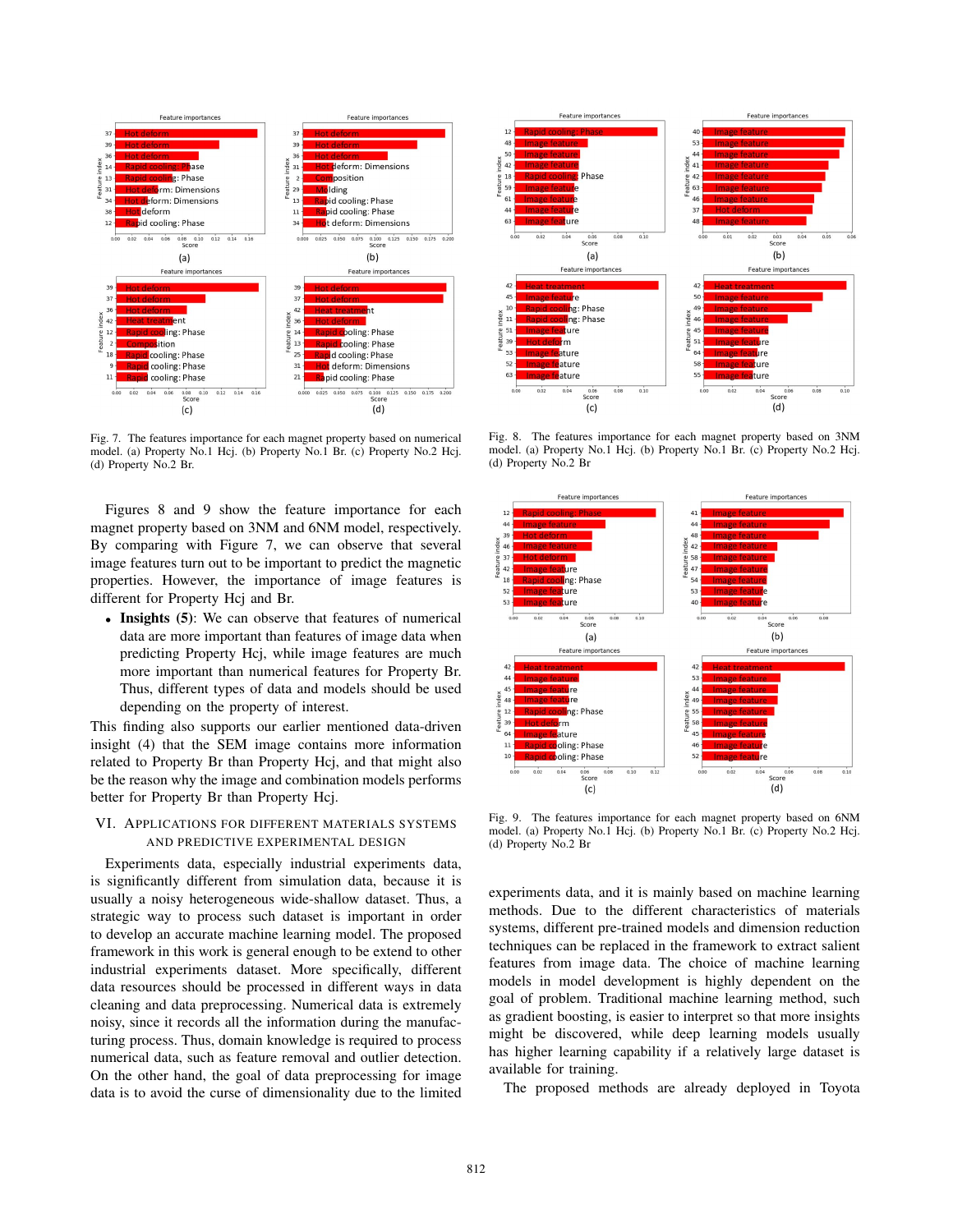

Fig. 7. The features importance for each magnet property based on numerical model. (a) Property No.1 Hcj. (b) Property No.1 Br. (c) Property No.2 Hcj. (d) Property No.2 Br.

Figures 8 and 9 show the feature importance for each magnet property based on 3NM and 6NM model, respectively. By comparing with Figure 7, we can observe that several image features turn out to be important to predict the magnetic properties. However, the importance of image features is different for Property Hcj and Br.

• Insights (5): We can observe that features of numerical data are more important than features of image data when predicting Property Hcj, while image features are much more important than numerical features for Property Br. Thus, different types of data and models should be used depending on the property of interest.

This finding also supports our earlier mentioned data-driven insight (4) that the SEM image contains more information related to Property Br than Property Hcj, and that might also be the reason why the image and combination models performs better for Property Br than Property Hcj.

# VI. APPLICATIONS FOR DIFFERENT MATERIALS SYSTEMS AND PREDICTIVE EXPERIMENTAL DESIGN

Experiments data, especially industrial experiments data, is significantly different from simulation data, because it is usually a noisy heterogeneous wide-shallow dataset. Thus, a strategic way to process such dataset is important in order to develop an accurate machine learning model. The proposed framework in this work is general enough to be extend to other industrial experiments dataset. More specifically, different data resources should be processed in different ways in data cleaning and data preprocessing. Numerical data is extremely noisy, since it records all the information during the manufacturing process. Thus, domain knowledge is required to process numerical data, such as feature removal and outlier detection. On the other hand, the goal of data preprocessing for image data is to avoid the curse of dimensionality due to the limited



Fig. 8. The features importance for each magnet property based on 3NM model. (a) Property No.1 Hcj. (b) Property No.1 Br. (c) Property No.2 Hcj. (d) Property No.2 Br



Fig. 9. The features importance for each magnet property based on 6NM model. (a) Property No.1 Hcj. (b) Property No.1 Br. (c) Property No.2 Hcj. (d) Property No.2 Br

experiments data, and it is mainly based on machine learning methods. Due to the different characteristics of materials systems, different pre-trained models and dimension reduction techniques can be replaced in the framework to extract salient features from image data. The choice of machine learning models in model development is highly dependent on the goal of problem. Traditional machine learning method, such as gradient boosting, is easier to interpret so that more insights might be discovered, while deep learning models usually has higher learning capability if a relatively large dataset is available for training.

The proposed methods are already deployed in Toyota